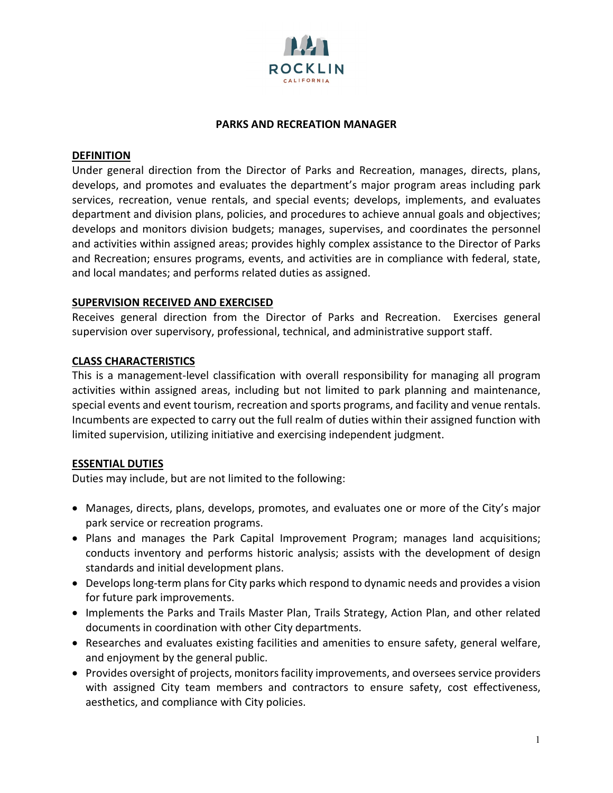

### **PARKS AND RECREATION MANAGER**

### **DEFINITION**

Under general direction from the Director of Parks and Recreation, manages, directs, plans, develops, and promotes and evaluates the department's major program areas including park services, recreation, venue rentals, and special events; develops, implements, and evaluates department and division plans, policies, and procedures to achieve annual goals and objectives; develops and monitors division budgets; manages, supervises, and coordinates the personnel and activities within assigned areas; provides highly complex assistance to the Director of Parks and Recreation; ensures programs, events, and activities are in compliance with federal, state, and local mandates; and performs related duties as assigned.

# **SUPERVISION RECEIVED AND EXERCISED**

Receives general direction from the Director of Parks and Recreation. Exercises general supervision over supervisory, professional, technical, and administrative support staff.

# **CLASS CHARACTERISTICS**

This is a management-level classification with overall responsibility for managing all program activities within assigned areas, including but not limited to park planning and maintenance, special events and event tourism, recreation and sports programs, and facility and venue rentals. Incumbents are expected to carry out the full realm of duties within their assigned function with limited supervision, utilizing initiative and exercising independent judgment.

# **ESSENTIAL DUTIES**

Duties may include, but are not limited to the following:

- Manages, directs, plans, develops, promotes, and evaluates one or more of the City's major park service or recreation programs.
- Plans and manages the Park Capital Improvement Program; manages land acquisitions; conducts inventory and performs historic analysis; assists with the development of design standards and initial development plans.
- Develops long-term plans for City parks which respond to dynamic needs and provides a vision for future park improvements.
- Implements the Parks and Trails Master Plan, Trails Strategy, Action Plan, and other related documents in coordination with other City departments.
- Researches and evaluates existing facilities and amenities to ensure safety, general welfare, and enjoyment by the general public.
- Provides oversight of projects, monitors facility improvements, and oversees service providers with assigned City team members and contractors to ensure safety, cost effectiveness, aesthetics, and compliance with City policies.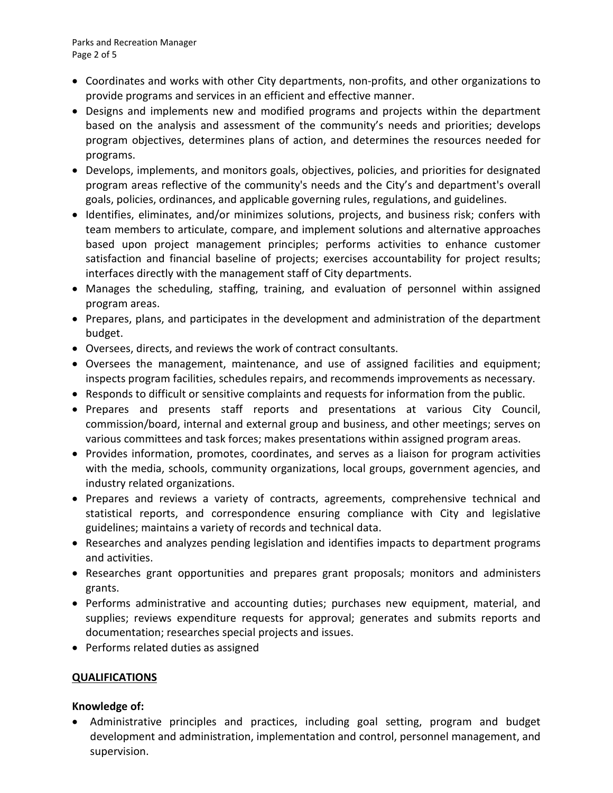- Coordinates and works with other City departments, non-profits, and other organizations to provide programs and services in an efficient and effective manner.
- Designs and implements new and modified programs and projects within the department based on the analysis and assessment of the community's needs and priorities; develops program objectives, determines plans of action, and determines the resources needed for programs.
- Develops, implements, and monitors goals, objectives, policies, and priorities for designated program areas reflective of the community's needs and the City's and department's overall goals, policies, ordinances, and applicable governing rules, regulations, and guidelines.
- Identifies, eliminates, and/or minimizes solutions, projects, and business risk; confers with team members to articulate, compare, and implement solutions and alternative approaches based upon project management principles; performs activities to enhance customer satisfaction and financial baseline of projects; exercises accountability for project results; interfaces directly with the management staff of City departments.
- Manages the scheduling, staffing, training, and evaluation of personnel within assigned program areas.
- Prepares, plans, and participates in the development and administration of the department budget.
- Oversees, directs, and reviews the work of contract consultants.
- Oversees the management, maintenance, and use of assigned facilities and equipment; inspects program facilities, schedules repairs, and recommends improvements as necessary.
- Responds to difficult or sensitive complaints and requests for information from the public.
- Prepares and presents staff reports and presentations at various City Council, commission/board, internal and external group and business, and other meetings; serves on various committees and task forces; makes presentations within assigned program areas.
- Provides information, promotes, coordinates, and serves as a liaison for program activities with the media, schools, community organizations, local groups, government agencies, and industry related organizations.
- Prepares and reviews a variety of contracts, agreements, comprehensive technical and statistical reports, and correspondence ensuring compliance with City and legislative guidelines; maintains a variety of records and technical data.
- Researches and analyzes pending legislation and identifies impacts to department programs and activities.
- Researches grant opportunities and prepares grant proposals; monitors and administers grants.
- Performs administrative and accounting duties; purchases new equipment, material, and supplies; reviews expenditure requests for approval; generates and submits reports and documentation; researches special projects and issues.
- Performs related duties as assigned

# **QUALIFICATIONS**

# **Knowledge of:**

• Administrative principles and practices, including goal setting, program and budget development and administration, implementation and control, personnel management, and supervision.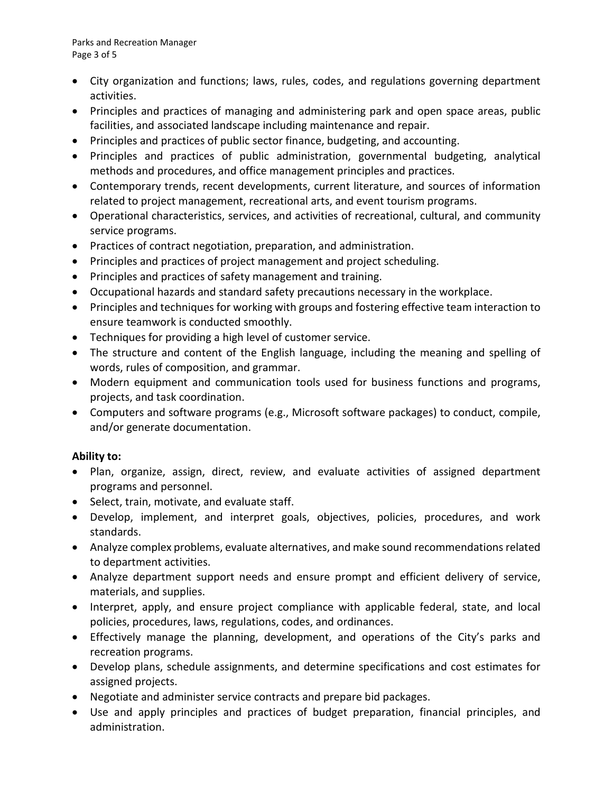Parks and Recreation Manager Page 3 of 5

- City organization and functions; laws, rules, codes, and regulations governing department activities.
- Principles and practices of managing and administering park and open space areas, public facilities, and associated landscape including maintenance and repair.
- Principles and practices of public sector finance, budgeting, and accounting.
- Principles and practices of public administration, governmental budgeting, analytical methods and procedures, and office management principles and practices.
- Contemporary trends, recent developments, current literature, and sources of information related to project management, recreational arts, and event tourism programs.
- Operational characteristics, services, and activities of recreational, cultural, and community service programs.
- Practices of contract negotiation, preparation, and administration.
- Principles and practices of project management and project scheduling.
- Principles and practices of safety management and training.
- Occupational hazards and standard safety precautions necessary in the workplace.
- Principles and techniques for working with groups and fostering effective team interaction to ensure teamwork is conducted smoothly.
- Techniques for providing a high level of customer service.
- The structure and content of the English language, including the meaning and spelling of words, rules of composition, and grammar.
- Modern equipment and communication tools used for business functions and programs, projects, and task coordination.
- Computers and software programs (e.g., Microsoft software packages) to conduct, compile, and/or generate documentation.

# **Ability to:**

- Plan, organize, assign, direct, review, and evaluate activities of assigned department programs and personnel.
- Select, train, motivate, and evaluate staff.
- Develop, implement, and interpret goals, objectives, policies, procedures, and work standards.
- Analyze complex problems, evaluate alternatives, and make sound recommendations related to department activities.
- Analyze department support needs and ensure prompt and efficient delivery of service, materials, and supplies.
- Interpret, apply, and ensure project compliance with applicable federal, state, and local policies, procedures, laws, regulations, codes, and ordinances.
- Effectively manage the planning, development, and operations of the City's parks and recreation programs.
- Develop plans, schedule assignments, and determine specifications and cost estimates for assigned projects.
- Negotiate and administer service contracts and prepare bid packages.
- Use and apply principles and practices of budget preparation, financial principles, and administration.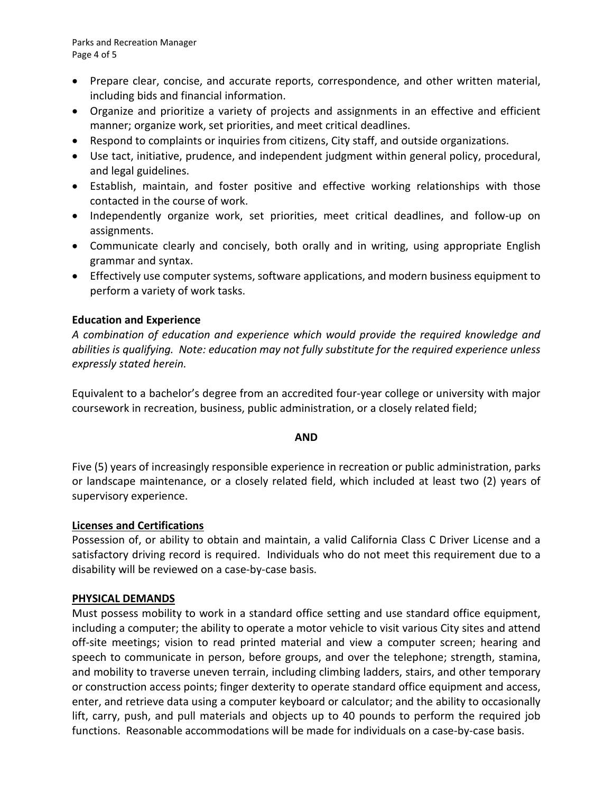- Prepare clear, concise, and accurate reports, correspondence, and other written material, including bids and financial information.
- Organize and prioritize a variety of projects and assignments in an effective and efficient manner; organize work, set priorities, and meet critical deadlines.
- Respond to complaints or inquiries from citizens, City staff, and outside organizations.
- Use tact, initiative, prudence, and independent judgment within general policy, procedural, and legal guidelines.
- Establish, maintain, and foster positive and effective working relationships with those contacted in the course of work.
- Independently organize work, set priorities, meet critical deadlines, and follow-up on assignments.
- Communicate clearly and concisely, both orally and in writing, using appropriate English grammar and syntax.
- Effectively use computer systems, software applications, and modern business equipment to perform a variety of work tasks.

# **Education and Experience**

*A combination of education and experience which would provide the required knowledge and abilities is qualifying. Note: education may not fully substitute for the required experience unless expressly stated herein.* 

Equivalent to a bachelor's degree from an accredited four-year college or university with major coursework in recreation, business, public administration, or a closely related field;

#### **AND**

Five (5) years of increasingly responsible experience in recreation or public administration, parks or landscape maintenance, or a closely related field, which included at least two (2) years of supervisory experience.

# **Licenses and Certifications**

Possession of, or ability to obtain and maintain, a valid California Class C Driver License and a satisfactory driving record is required. Individuals who do not meet this requirement due to a disability will be reviewed on a case-by-case basis.

# **PHYSICAL DEMANDS**

Must possess mobility to work in a standard office setting and use standard office equipment, including a computer; the ability to operate a motor vehicle to visit various City sites and attend off-site meetings; vision to read printed material and view a computer screen; hearing and speech to communicate in person, before groups, and over the telephone; strength, stamina, and mobility to traverse uneven terrain, including climbing ladders, stairs, and other temporary or construction access points; finger dexterity to operate standard office equipment and access, enter, and retrieve data using a computer keyboard or calculator; and the ability to occasionally lift, carry, push, and pull materials and objects up to 40 pounds to perform the required job functions. Reasonable accommodations will be made for individuals on a case-by-case basis.